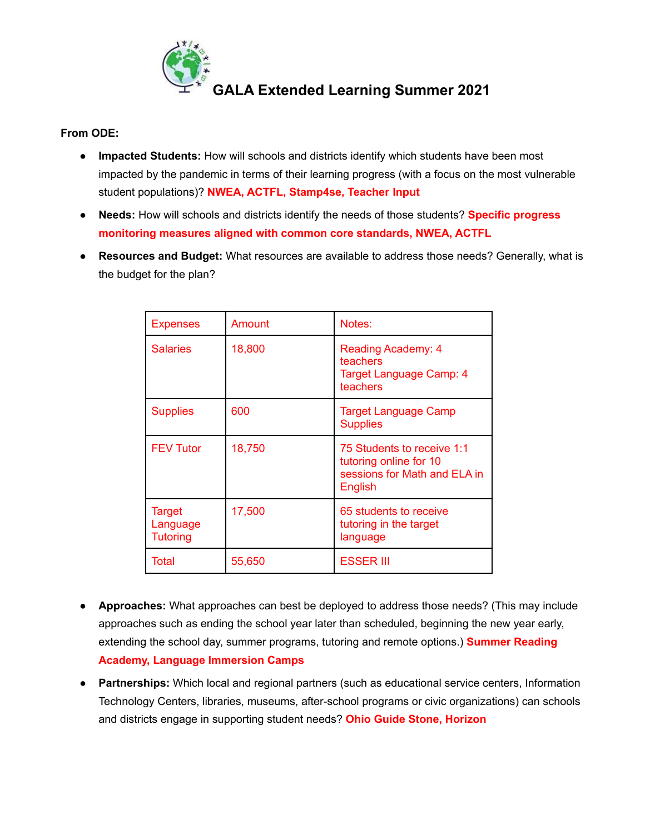

### **From ODE:**

- **Impacted Students:** How will schools and districts identify which students have been most impacted by the pandemic in terms of their learning progress (with a focus on the most vulnerable student populations)? **NWEA, ACTFL, Stamp4se, Teacher Input**
- **Needs:** How will schools and districts identify the needs of those students? **Specific progress monitoring measures aligned with common core standards, NWEA, ACTFL**
- **Resources and Budget:** What resources are available to address those needs? Generally, what is the budget for the plan?

| <b>Expenses</b>                              | Amount | Notes:                                                                                          |
|----------------------------------------------|--------|-------------------------------------------------------------------------------------------------|
| <b>Salaries</b>                              | 18,800 | Reading Academy: 4<br>teachers<br>Target Language Camp: 4<br>teachers                           |
| <b>Supplies</b>                              | 600    | <b>Target Language Camp</b><br><b>Supplies</b>                                                  |
| <b>FEV Tutor</b>                             | 18,750 | 75 Students to receive 1:1<br>tutoring online for 10<br>sessions for Math and ELA in<br>English |
| <b>Target</b><br>Language<br><b>Tutoring</b> | 17,500 | 65 students to receive<br>tutoring in the target<br>language                                    |
| <b>Total</b>                                 | 55,650 | <b>ESSER III</b>                                                                                |

- **Approaches:** What approaches can best be deployed to address those needs? (This may include approaches such as ending the school year later than scheduled, beginning the new year early, extending the school day, summer programs, tutoring and remote options.) **Summer Reading Academy, Language Immersion Camps**
- **Partnerships:** Which local and regional partners (such as educational service centers, Information Technology Centers, libraries, museums, after-school programs or civic organizations) can schools and districts engage in supporting student needs? **Ohio Guide Stone, Horizon**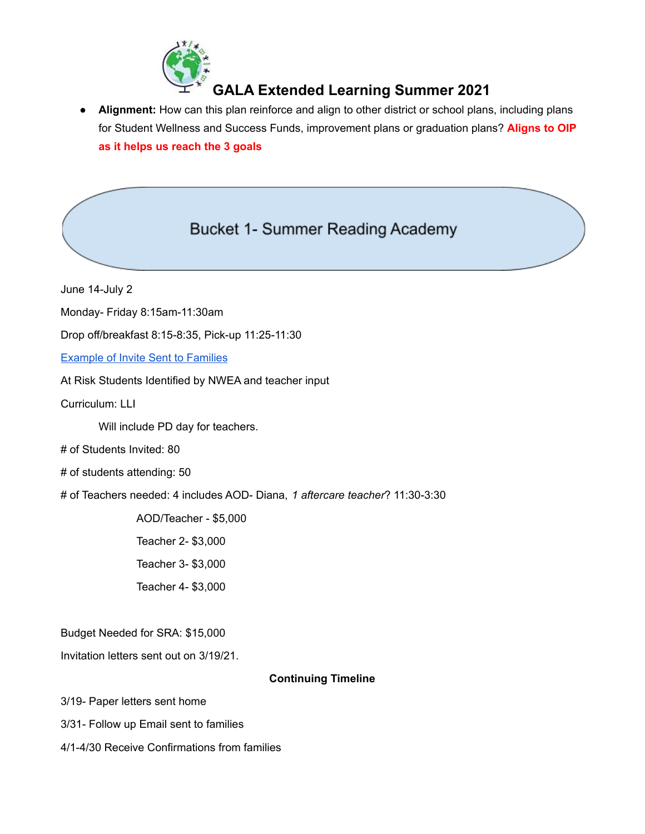

● **Alignment:** How can this plan reinforce and align to other district or school plans, including plans for Student Wellness and Success Funds, improvement plans or graduation plans? **Aligns to OIP as it helps us reach the 3 goals**

# Bucket 1- Summer Reading Academy

June 14-July 2

Monday- Friday 8:15am-11:30am

Drop off/breakfast 8:15-8:35, Pick-up 11:25-11:30

[Example of Invite Sent to Families](https://docs.google.com/document/d/1CJuTSDpNqucSeCyEDdnjGm3Yn1_gcMwnWZhxBjShah0/edit?usp=sharing)

At Risk Students Identified by NWEA and teacher input

Curriculum: LLI

Will include PD day for teachers.

#### # of Students Invited: 80

# of students attending: 50

# of Teachers needed: 4 includes AOD- Diana, *1 aftercare teacher*? 11:30-3:30

AOD/Teacher - \$5,000 Teacher 2- \$3,000 Teacher 3- \$3,000 Teacher 4- \$3,000

Budget Needed for SRA: \$15,000

Invitation letters sent out on 3/19/21.

#### **Continuing Timeline**

3/19- Paper letters sent home

3/31- Follow up Email sent to families

4/1-4/30 Receive Confirmations from families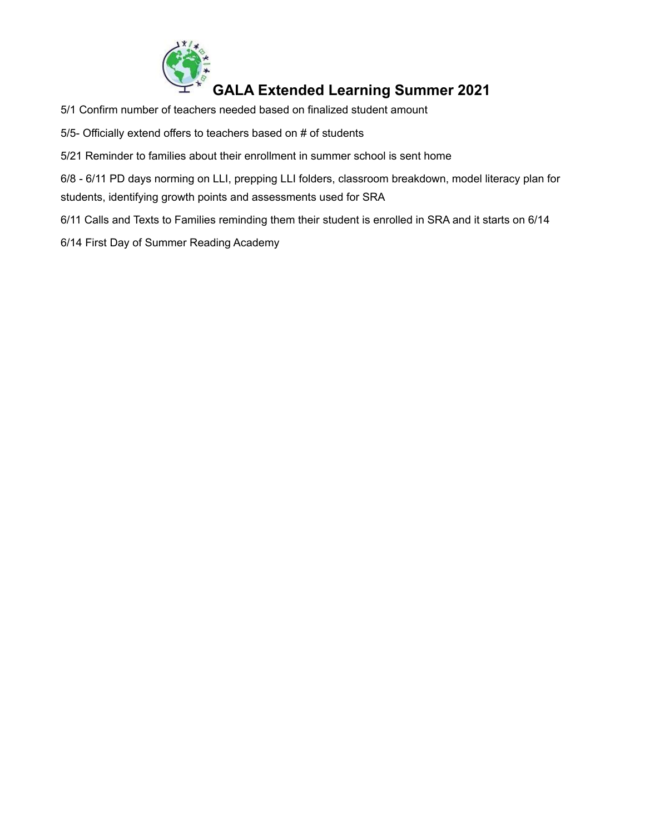

- 5/1 Confirm number of teachers needed based on finalized student amount
- 5/5- Officially extend offers to teachers based on # of students
- 5/21 Reminder to families about their enrollment in summer school is sent home
- 6/8 6/11 PD days norming on LLI, prepping LLI folders, classroom breakdown, model literacy plan for students, identifying growth points and assessments used for SRA
- 6/11 Calls and Texts to Families reminding them their student is enrolled in SRA and it starts on 6/14
- 6/14 First Day of Summer Reading Academy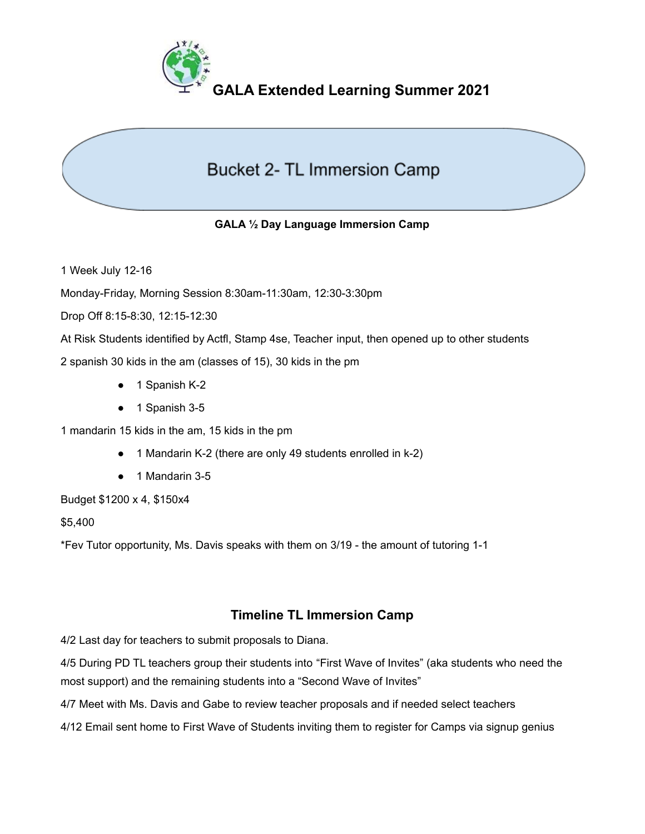

# **Bucket 2- TL Immersion Camp**

### **GALA ½ Day Language Immersion Camp**

1 Week July 12-16

Monday-Friday, Morning Session 8:30am-11:30am, 12:30-3:30pm

Drop Off 8:15-8:30, 12:15-12:30

At Risk Students identified by Actfl, Stamp 4se, Teacher input, then opened up to other students

2 spanish 30 kids in the am (classes of 15), 30 kids in the pm

- 1 Spanish K-2
- 1 Spanish 3-5

1 mandarin 15 kids in the am, 15 kids in the pm

- 1 Mandarin K-2 (there are only 49 students enrolled in k-2)
- 1 Mandarin 3-5

Budget \$1200 x 4, \$150x4

\$5,400

\*Fev Tutor opportunity, Ms. Davis speaks with them on 3/19 - the amount of tutoring 1-1

### **Timeline TL Immersion Camp**

4/2 Last day for teachers to submit proposals to Diana.

4/5 During PD TL teachers group their students into "First Wave of Invites" (aka students who need the most support) and the remaining students into a "Second Wave of Invites"

4/7 Meet with Ms. Davis and Gabe to review teacher proposals and if needed select teachers

4/12 Email sent home to First Wave of Students inviting them to register for Camps via signup genius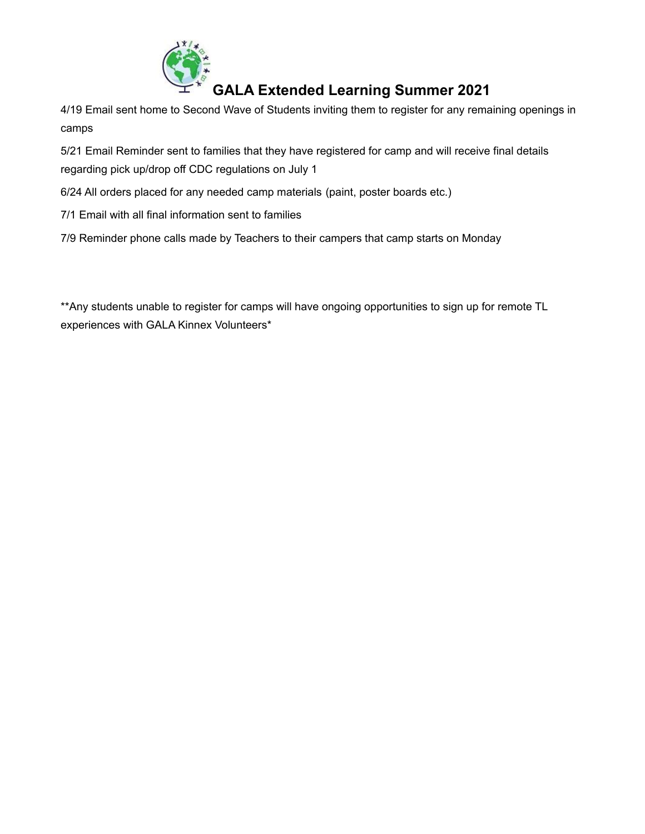

4/19 Email sent home to Second Wave of Students inviting them to register for any remaining openings in camps

5/21 Email Reminder sent to families that they have registered for camp and will receive final details regarding pick up/drop off CDC regulations on July 1

6/24 All orders placed for any needed camp materials (paint, poster boards etc.)

7/1 Email with all final information sent to families

7/9 Reminder phone calls made by Teachers to their campers that camp starts on Monday

\*\*Any students unable to register for camps will have ongoing opportunities to sign up for remote TL experiences with GALA Kinnex Volunteers\*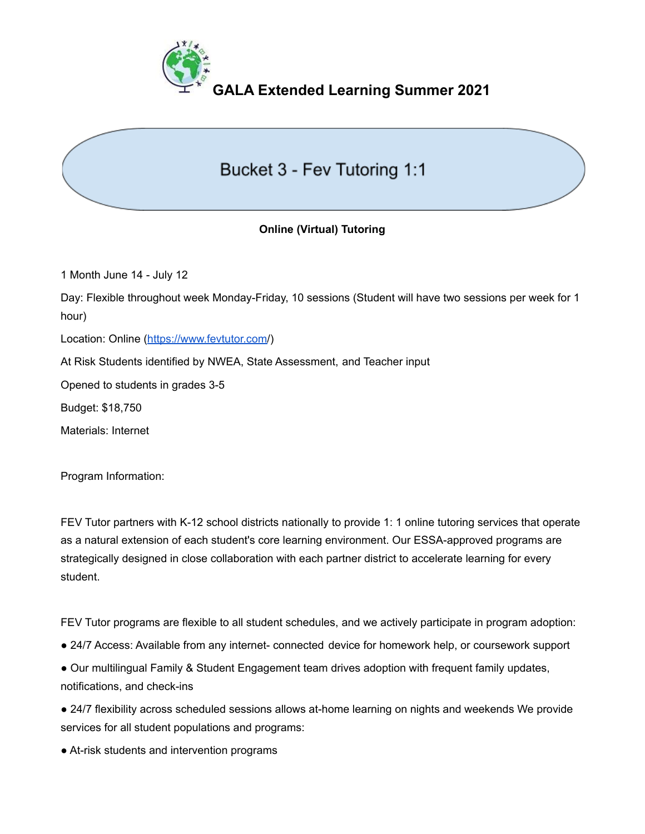

# Bucket 3 - Fev Tutoring 1:1

### **Online (Virtual) Tutoring**

1 Month June 14 - July 12 Day: Flexible throughout week Monday-Friday, 10 sessions (Student will have two sessions per week for 1 hour) Location: Online ([https://www.fevtutor.com/](https://www.fevtutor.com)) At Risk Students identified by NWEA, State Assessment, and Teacher input Opened to students in grades 3-5 Budget: \$18,750 Materials: Internet

Program Information:

FEV Tutor partners with K-12 school districts nationally to provide 1: 1 online tutoring services that operate as a natural extension of each student's core learning environment. Our ESSA-approved programs are strategically designed in close collaboration with each partner district to accelerate learning for every student.

FEV Tutor programs are flexible to all student schedules, and we actively participate in program adoption:

● 24/7 Access: Available from any internet- connected device for homework help, or coursework support

● Our multilingual Family & Student Engagement team drives adoption with frequent family updates, notifications, and check-ins

● 24/7 flexibility across scheduled sessions allows at-home learning on nights and weekends We provide services for all student populations and programs:

• At-risk students and intervention programs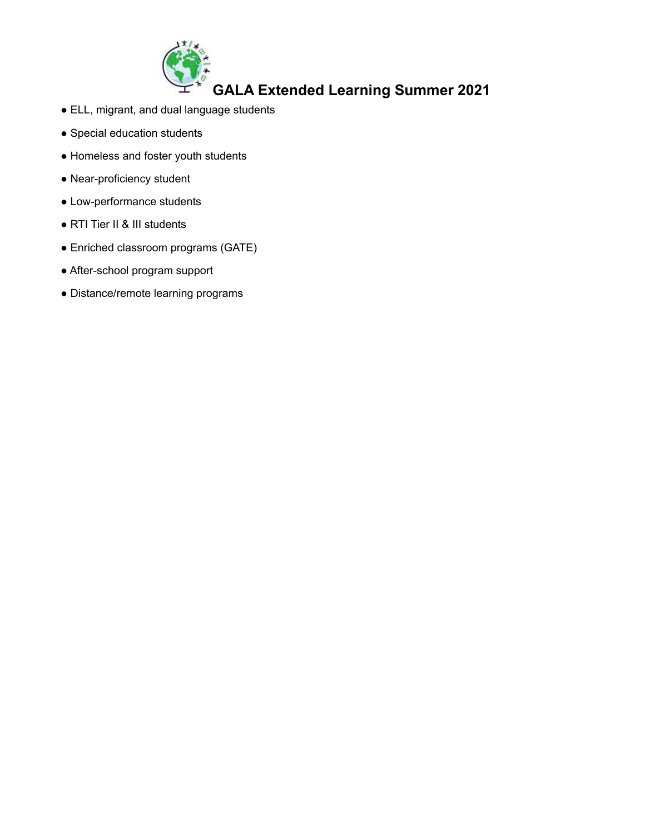

- ELL, migrant, and dual language students
- Special education students
- Homeless and foster youth students
- Near-proficiency student
- Low-performance students
- RTI Tier II & III students
- Enriched classroom programs (GATE)
- After-school program support
- Distance/remote learning programs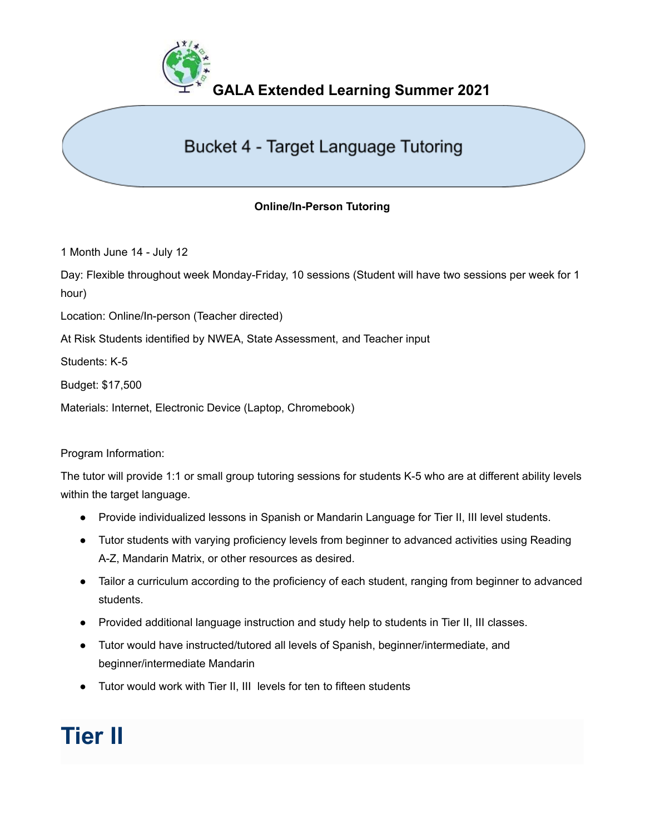

# Bucket 4 - Target Language Tutoring

### **Online/In-Person Tutoring**

1 Month June 14 - July 12

Day: Flexible throughout week Monday-Friday, 10 sessions (Student will have two sessions per week for 1 hour)

Location: Online/In-person (Teacher directed)

At Risk Students identified by NWEA, State Assessment, and Teacher input

Students: K-5

Budget: \$17,500

Materials: Internet, Electronic Device (Laptop, Chromebook)

#### Program Information:

The tutor will provide 1:1 or small group tutoring sessions for students K-5 who are at different ability levels within the target language.

- Provide individualized lessons in Spanish or Mandarin Language for Tier II, III level students.
- Tutor students with varying proficiency levels from beginner to advanced activities using Reading A-Z, Mandarin Matrix, or other resources as desired.
- Tailor a curriculum according to the proficiency of each student, ranging from beginner to advanced students.
- Provided additional language instruction and study help to students in Tier II, III classes.
- Tutor would have instructed/tutored all levels of Spanish, beginner/intermediate, and beginner/intermediate Mandarin
- Tutor would work with Tier II, III levels for ten to fifteen students

# **Tier II**